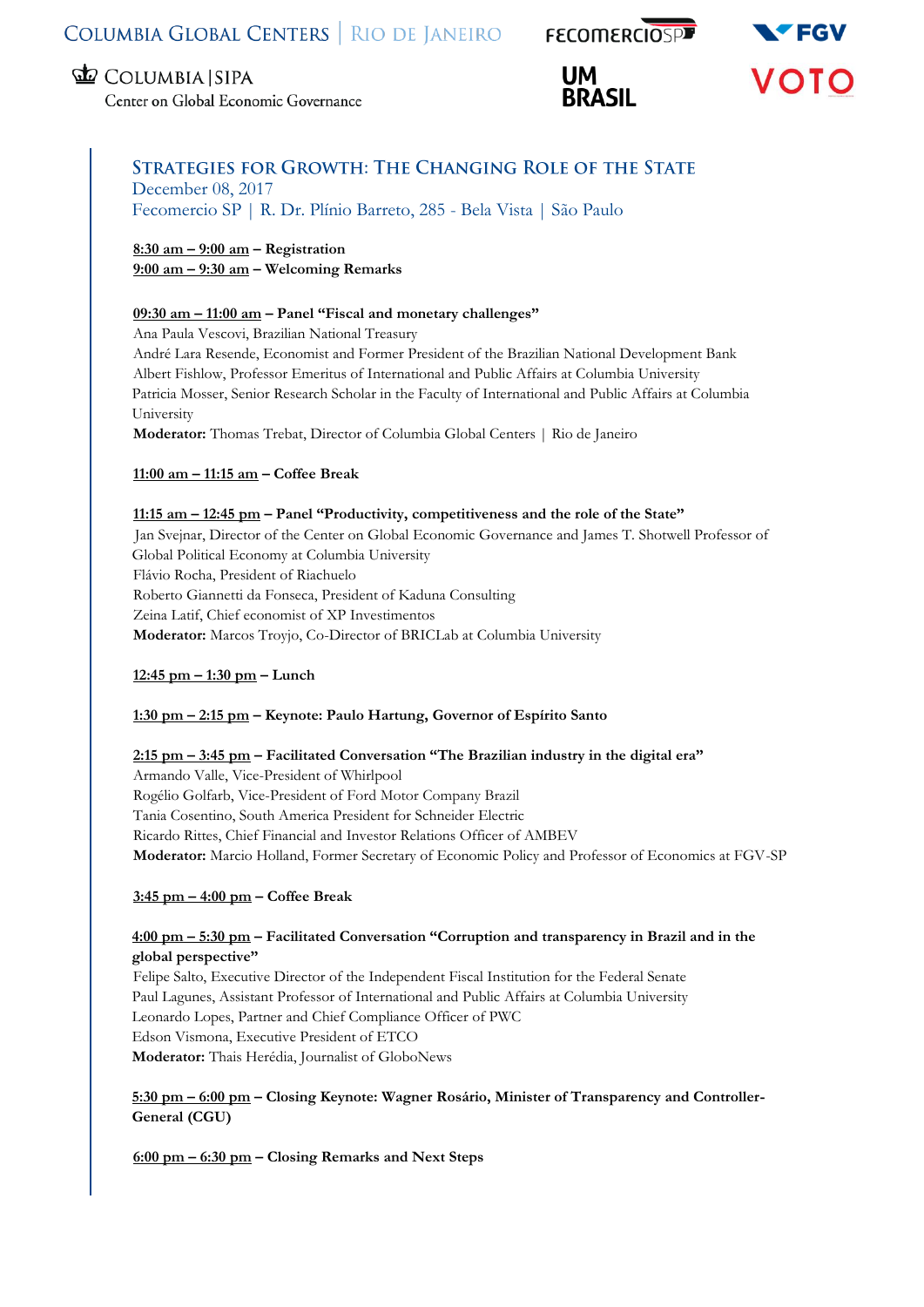



Center on Global Economic Governance

# **STRATEGIES FOR GROWTH: THE CHANGING ROLE OF THE STATE** December 08, 2017

Fecomercio SP | R. Dr. Plínio Barreto, 285 - Bela Vista | São Paulo

**8:30 am – 9:00 am – Registration 9:00 am – 9:30 am – Welcoming Remarks**

### **09:30 am – 11:00 am – Panel "Fiscal and monetary challenges"**

Ana Paula Vescovi, Brazilian National Treasury André Lara Resende, Economist and Former President of the Brazilian National Development Bank Albert Fishlow, Professor Emeritus of International and Public Affairs at Columbia University Patricia Mosser, Senior Research Scholar in the Faculty of International and Public Affairs at Columbia University **Moderator:** Thomas Trebat, Director of Columbia Global Centers | Rio de Janeiro

**11:00 am – 11:15 am – Coffee Break**

### **11:15 am – 12:45 pm – Panel "Productivity, competitiveness and the role of the State"**

Jan Svejnar, Director of the Center on Global Economic Governance and James T. Shotwell Professor of Global Political Economy at Columbia University Flávio Rocha, President of Riachuelo Roberto Giannetti da Fonseca, President of Kaduna Consulting Zeina Latif, Chief economist of XP Investimentos **Moderator:** Marcos Troyjo, Co-Director of BRICLab at Columbia University

**12:45 pm – 1:30 pm – Lunch**

## **1:30 pm – 2:15 pm – Keynote: Paulo Hartung, Governor of Espírito Santo**

## **2:15 pm – 3:45 pm – Facilitated Conversation "The Brazilian industry in the digital era"**

Armando Valle, Vice-President of Whirlpool Rogélio Golfarb, Vice-President of Ford Motor Company Brazil Tania Cosentino, South America President for Schneider Electric Ricardo Rittes, Chief Financial and Investor Relations Officer of AMBEV **Moderator:** Marcio Holland, Former Secretary of Economic Policy and Professor of Economics at FGV-SP

## **3:45 pm – 4:00 pm – Coffee Break**

### **4:00 pm – 5:30 pm – Facilitated Conversation "Corruption and transparency in Brazil and in the global perspective"**

Felipe Salto, Executive Director of the Independent Fiscal Institution for the Federal Senate Paul Lagunes, Assistant Professor of International and Public Affairs at Columbia University Leonardo Lopes, Partner and Chief Compliance Officer of PWC Edson Vismona, Executive President of ETCO **Moderator:** Thais Herédia, Journalist of GloboNews

### **5:30 pm – 6:00 pm – Closing Keynote: Wagner Rosário, Minister of Transparency and Controller-General (CGU)**

**6:00 pm – 6:30 pm – Closing Remarks and Next Steps**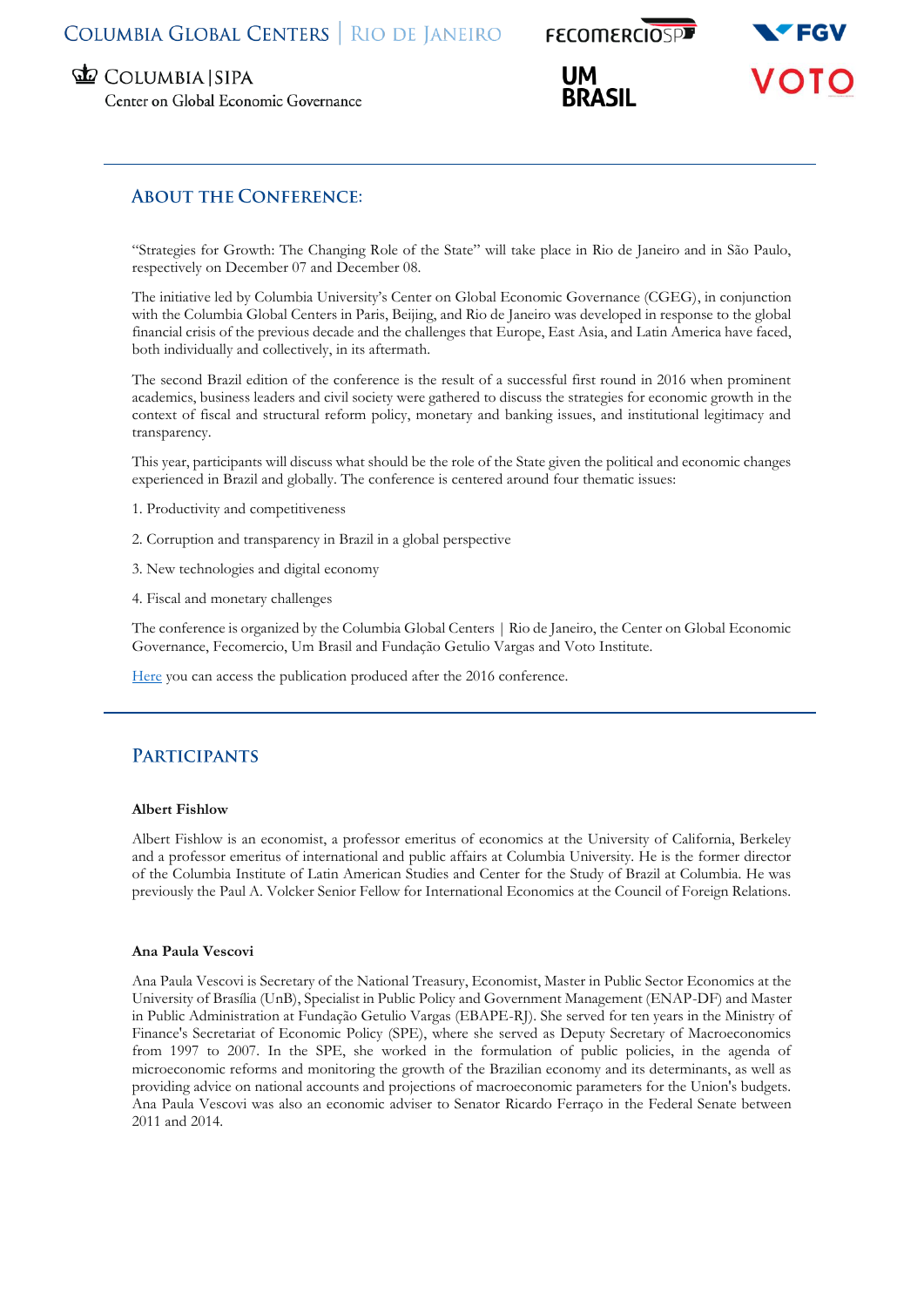

Center on Global Economic Governance

# **ABOUT THE CONFERENCE:**

"Strategies for Growth: The Changing Role of the State" will take place in Rio de Janeiro and in São Paulo, respectively on December 07 and December 08.

The initiative led by Columbia University's Center on Global Economic Governance (CGEG), in conjunction with the Columbia Global Centers in Paris, Beijing, and Rio de Janeiro was developed in response to the global financial crisis of the previous decade and the challenges that Europe, East Asia, and Latin America have faced, both individually and collectively, in its aftermath.

The second Brazil edition of the conference is the result of a successful first round in 2016 when prominent academics, business leaders and civil society were gathered to discuss the strategies for economic growth in the context of fiscal and structural reform policy, monetary and banking issues, and institutional legitimacy and transparency.

This year, participants will discuss what should be the role of the State given the political and economic changes experienced in Brazil and globally. The conference is centered around four thematic issues:

- 1. Productivity and competitiveness
- 2. Corruption and transparency in Brazil in a global perspective
- 3. New technologies and digital economy
- 4. Fiscal and monetary challenges

The conference is organized by the Columbia Global Centers | Rio de Janeiro, the Center on Global Economic Governance, Fecomercio, Um Brasil and Fundação Getulio Vargas and Voto Institute.

[Here](https://globalcenters.columbia.edu/sites/default/files/content/Rio/Media/Publications/Strategies%20for%20Growth%20-%20The%20Changing%20Role%20of%20the%20State_final.pdf) you can access the publication produced after the 2016 conference.

## **PARTICIPANTS**

#### **Albert Fishlow**

Albert Fishlow is an economist, a professor emeritus of economics at the University of California, Berkeley and a professor emeritus of international and public affairs at Columbia University. He is the former director of the Columbia Institute of Latin American Studies and Center for the Study of Brazil at Columbia. He was previously the Paul A. Volcker Senior Fellow for International Economics at the Council of Foreign Relations.

#### **Ana Paula Vescovi**

Ana Paula Vescovi is Secretary of the National Treasury, Economist, Master in Public Sector Economics at the University of Brasília (UnB), Specialist in Public Policy and Government Management (ENAP-DF) and Master in Public Administration at Fundação Getulio Vargas (EBAPE-RJ). She served for ten years in the Ministry of Finance's Secretariat of Economic Policy (SPE), where she served as Deputy Secretary of Macroeconomics from 1997 to 2007. In the SPE, she worked in the formulation of public policies, in the agenda of microeconomic reforms and monitoring the growth of the Brazilian economy and its determinants, as well as providing advice on national accounts and projections of macroeconomic parameters for the Union's budgets. Ana Paula Vescovi was also an economic adviser to Senator Ricardo Ferraço in the Federal Senate between 2011 and 2014.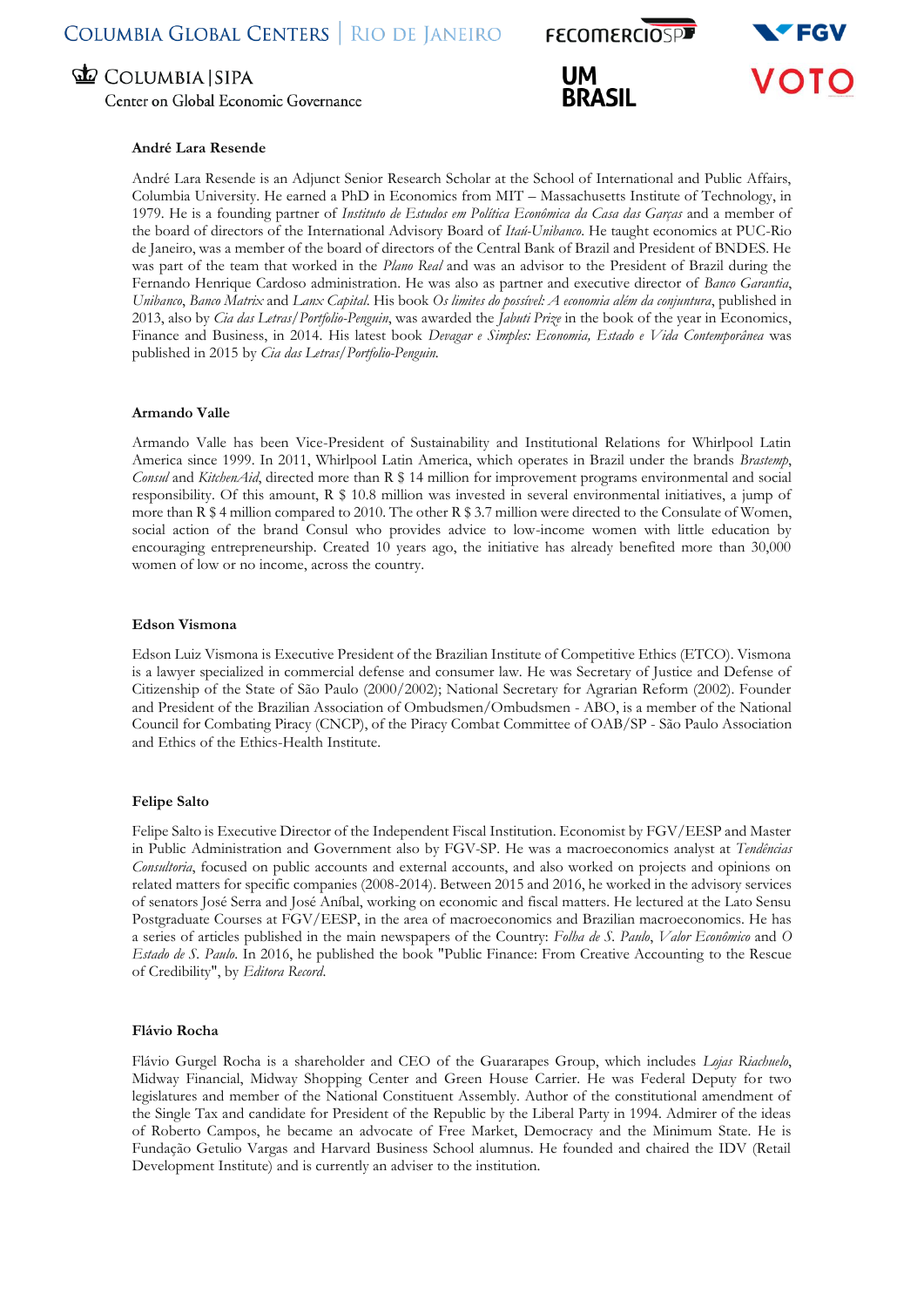Center on Global Economic Governance

#### **André Lara Resende**

André Lara Resende is an Adjunct Senior Research Scholar at the School of International and Public Affairs, Columbia University. He earned a PhD in Economics from MIT – Massachusetts Institute of Technology, in 1979. He is a founding partner of *Instituto de Estudos em Política Econômica da Casa das Garças* and a member of the board of directors of the International Advisory Board of *Itaú-Unibanco*. He taught economics at PUC-Rio de Janeiro, was a member of the board of directors of the Central Bank of Brazil and President of BNDES. He was part of the team that worked in the *Plano Real* and was an advisor to the President of Brazil during the Fernando Henrique Cardoso administration. He was also as partner and executive director of *Banco Garantia*, *Unibanco*, *Banco Matrix* and *Lanx Capital*. His book *Os limites do possível: A economia além da conjuntura*, published in 2013, also by *Cia das Letras/Portfolio-Penguin*, was awarded the *Jabuti Prize* in the book of the year in Economics, Finance and Business, in 2014. His latest book *Devagar e Simples: Economia, Estado e Vida Contemporânea* was published in 2015 by *Cia das Letras/Portfolio-Penguin.*

#### **Armando Valle**

Armando Valle has been Vice-President of Sustainability and Institutional Relations for Whirlpool Latin America since 1999. In 2011, Whirlpool Latin America, which operates in Brazil under the brands *Brastemp*, *Consul* and *KitchenAid*, directed more than R \$ 14 million for improvement programs environmental and social responsibility. Of this amount, R \$ 10.8 million was invested in several environmental initiatives, a jump of more than R \$ 4 million compared to 2010. The other R \$ 3.7 million were directed to the Consulate of Women, social action of the brand Consul who provides advice to low-income women with little education by encouraging entrepreneurship. Created 10 years ago, the initiative has already benefited more than 30,000 women of low or no income, across the country.

#### **Edson Vismona**

Edson Luiz Vismona is Executive President of the Brazilian Institute of Competitive Ethics (ETCO). Vismona is a lawyer specialized in commercial defense and consumer law. He was Secretary of Justice and Defense of Citizenship of the State of São Paulo (2000/2002); National Secretary for Agrarian Reform (2002). Founder and President of the Brazilian Association of Ombudsmen/Ombudsmen - ABO, is a member of the National Council for Combating Piracy (CNCP), of the Piracy Combat Committee of OAB/SP - São Paulo Association and Ethics of the Ethics-Health Institute.

#### **Felipe Salto**

Felipe Salto is Executive Director of the Independent Fiscal Institution. Economist by FGV/EESP and Master in Public Administration and Government also by FGV-SP. He was a macroeconomics analyst at *Tendências Consultoria*, focused on public accounts and external accounts, and also worked on projects and opinions on related matters for specific companies (2008-2014). Between 2015 and 2016, he worked in the advisory services of senators José Serra and José Aníbal, working on economic and fiscal matters. He lectured at the Lato Sensu Postgraduate Courses at FGV/EESP, in the area of macroeconomics and Brazilian macroeconomics. He has a series of articles published in the main newspapers of the Country: *Folha de S. Paulo*, *Valor Econômico* and *O Estado de S. Paulo*. In 2016, he published the book "Public Finance: From Creative Accounting to the Rescue of Credibility", by *Editora Record*.

#### **Flávio Rocha**

Flávio Gurgel Rocha is a shareholder and CEO of the Guararapes Group, which includes *Lojas Riachuelo*, Midway Financial, Midway Shopping Center and Green House Carrier. He was Federal Deputy for two legislatures and member of the National Constituent Assembly. Author of the constitutional amendment of the Single Tax and candidate for President of the Republic by the Liberal Party in 1994. Admirer of the ideas of Roberto Campos, he became an advocate of Free Market, Democracy and the Minimum State. He is Fundação Getulio Vargas and Harvard Business School alumnus. He founded and chaired the IDV (Retail Development Institute) and is currently an adviser to the institution.



**FECOMERCIOSPE** 

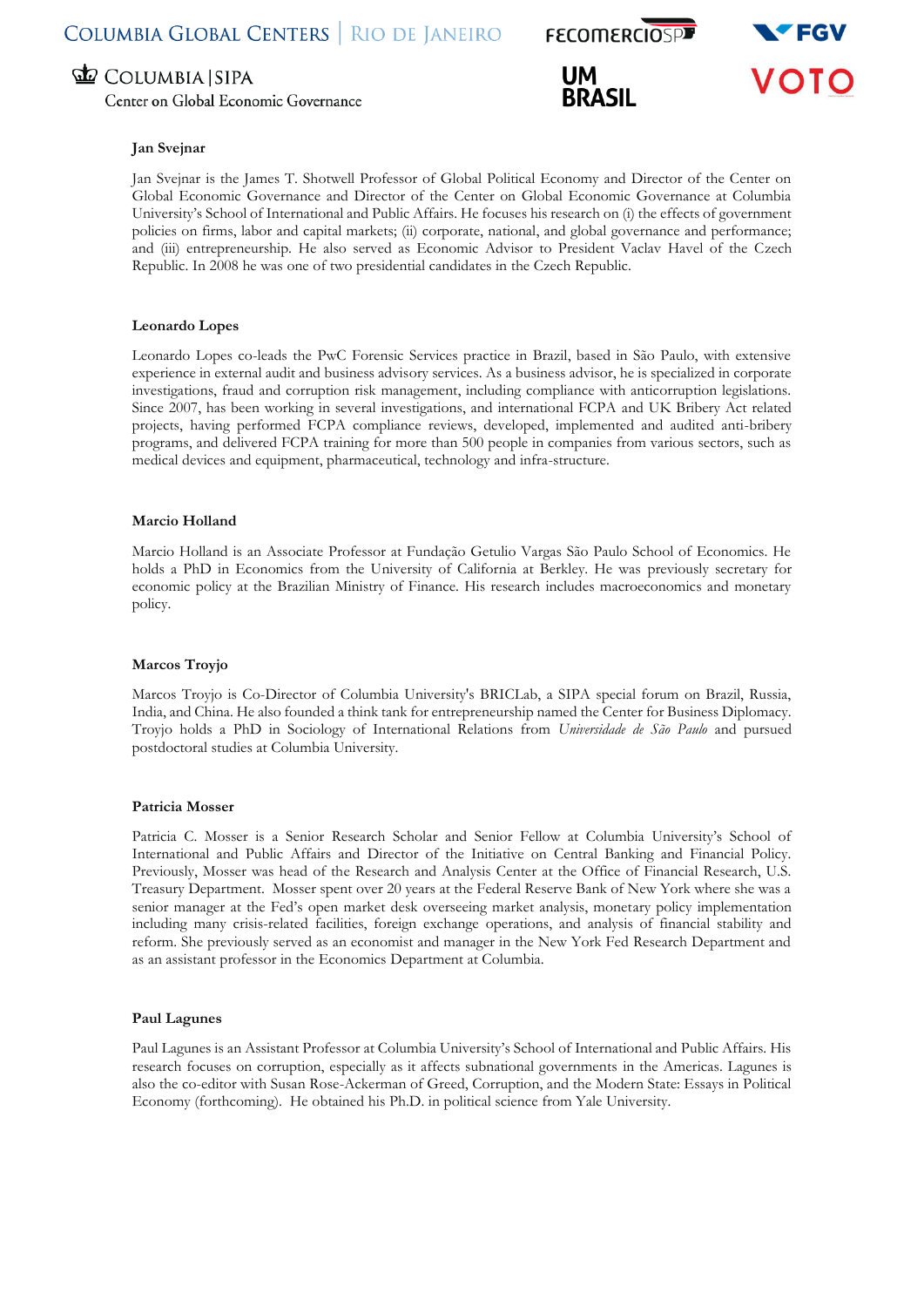Center on Global Economic Governance







#### **Jan Svejnar**

Jan Svejnar is the James T. Shotwell Professor of Global Political Economy and Director of the Center on Global Economic Governance and Director of the Center on Global Economic Governance at Columbia University's School of International and Public Affairs. He focuses his research on (i) the effects of government policies on firms, labor and capital markets; (ii) corporate, national, and global governance and performance; and (iii) entrepreneurship. He also served as Economic Advisor to President Vaclav Havel of the Czech Republic. In 2008 he was one of two presidential candidates in the Czech Republic.

#### **Leonardo Lopes**

Leonardo Lopes co-leads the PwC Forensic Services practice in Brazil, based in São Paulo, with extensive experience in external audit and business advisory services. As a business advisor, he is specialized in corporate investigations, fraud and corruption risk management, including compliance with anticorruption legislations. Since 2007, has been working in several investigations, and international FCPA and UK Bribery Act related projects, having performed FCPA compliance reviews, developed, implemented and audited anti-bribery programs, and delivered FCPA training for more than 500 people in companies from various sectors, such as medical devices and equipment, pharmaceutical, technology and infra-structure.

#### **Marcio Holland**

Marcio Holland is an Associate Professor at Fundação Getulio Vargas São Paulo School of Economics. He holds a PhD in Economics from the University of California at Berkley. He was previously secretary for economic policy at the Brazilian Ministry of Finance. His research includes macroeconomics and monetary policy.

#### **Marcos Troyjo**

Marcos Troyjo is Co-Director of Columbia University's BRICLab, a SIPA special forum on Brazil, Russia, India, and China. He also founded a think tank for entrepreneurship named the Center for Business Diplomacy. Troyjo holds a PhD in Sociology of International Relations from *Universidade de São Paulo* and pursued postdoctoral studies at Columbia University.

#### **Patricia Mosser**

Patricia C. Mosser is a Senior Research Scholar and Senior Fellow at Columbia University's School of International and Public Affairs and Director of the Initiative on Central Banking and Financial Policy. Previously, Mosser was head of the Research and Analysis Center at the Office of Financial Research, U.S. Treasury Department. Mosser spent over 20 years at the Federal Reserve Bank of New York where she was a senior manager at the Fed's open market desk overseeing market analysis, monetary policy implementation including many crisis-related facilities, foreign exchange operations, and analysis of financial stability and reform. She previously served as an economist and manager in the New York Fed Research Department and as an assistant professor in the Economics Department at Columbia.

#### **Paul Lagunes**

Paul Lagunes is an Assistant Professor at Columbia University's School of International and Public Affairs. His research focuses on corruption, especially as it affects subnational governments in the Americas. Lagunes is also the co-editor with Susan Rose-Ackerman of Greed, Corruption, and the Modern State: Essays in Political Economy (forthcoming). He obtained his Ph.D. in political science from Yale University.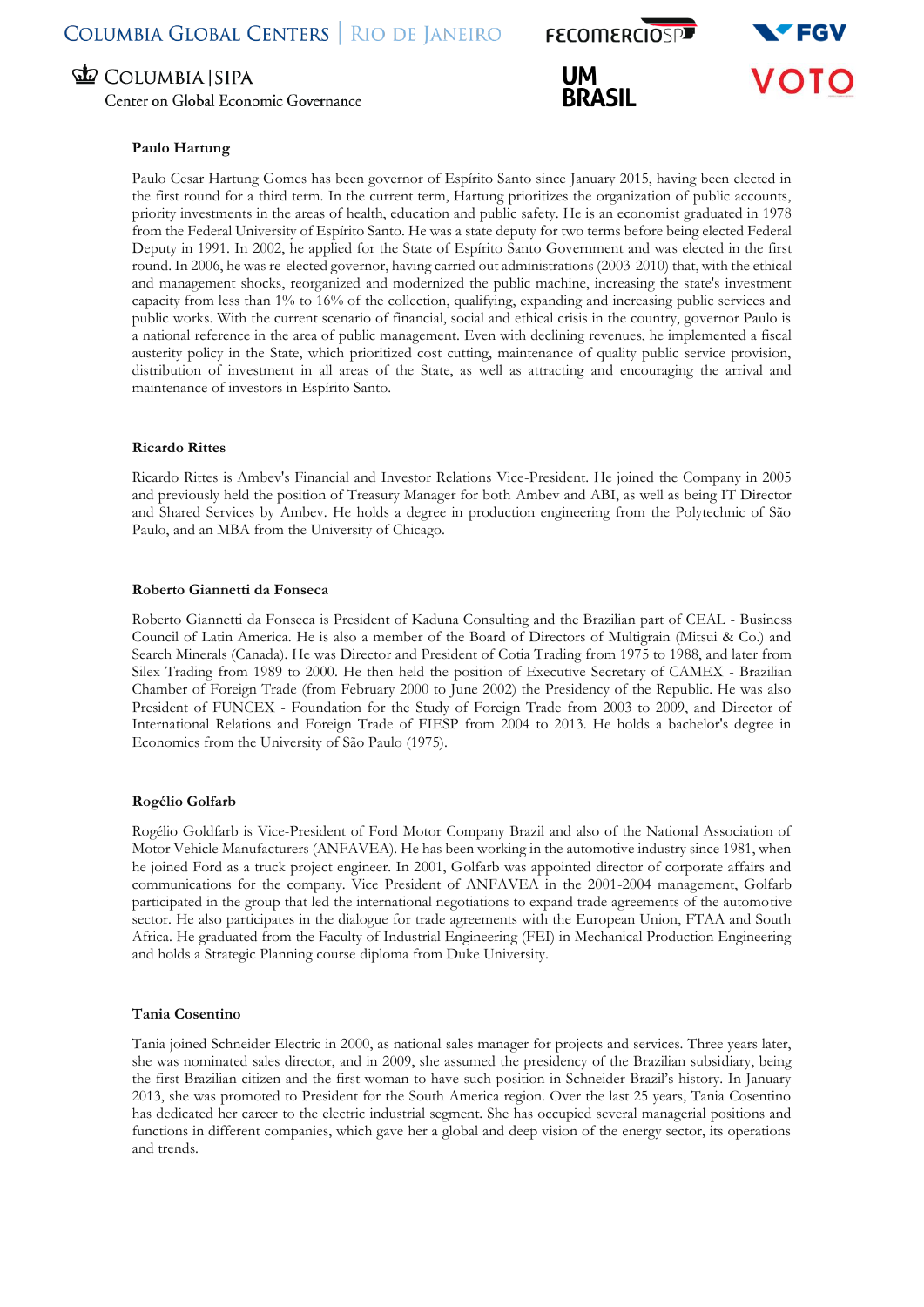Center on Global Economic Governance

# **FECOMERCIOSPE**





#### **Paulo Hartung**

Paulo Cesar Hartung Gomes has been governor of Espírito Santo since January 2015, having been elected in the first round for a third term. In the current term, Hartung prioritizes the organization of public accounts, priority investments in the areas of health, education and public safety. He is an economist graduated in 1978 from the Federal University of Espírito Santo. He was a state deputy for two terms before being elected Federal Deputy in 1991. In 2002, he applied for the State of Espírito Santo Government and was elected in the first round. In 2006, he was re-elected governor, having carried out administrations (2003-2010) that, with the ethical and management shocks, reorganized and modernized the public machine, increasing the state's investment capacity from less than 1% to 16% of the collection, qualifying, expanding and increasing public services and public works. With the current scenario of financial, social and ethical crisis in the country, governor Paulo is a national reference in the area of public management. Even with declining revenues, he implemented a fiscal austerity policy in the State, which prioritized cost cutting, maintenance of quality public service provision, distribution of investment in all areas of the State, as well as attracting and encouraging the arrival and maintenance of investors in Espírito Santo.

#### **Ricardo Rittes**

Ricardo Rittes is Ambev's Financial and Investor Relations Vice-President. He joined the Company in 2005 and previously held the position of Treasury Manager for both Ambev and ABI, as well as being IT Director and Shared Services by Ambev. He holds a degree in production engineering from the Polytechnic of São Paulo, and an MBA from the University of Chicago.

#### **Roberto Giannetti da Fonseca**

Roberto Giannetti da Fonseca is President of Kaduna Consulting and the Brazilian part of CEAL - Business Council of Latin America. He is also a member of the Board of Directors of Multigrain (Mitsui & Co.) and Search Minerals (Canada). He was Director and President of Cotia Trading from 1975 to 1988, and later from Silex Trading from 1989 to 2000. He then held the position of Executive Secretary of CAMEX - Brazilian Chamber of Foreign Trade (from February 2000 to June 2002) the Presidency of the Republic. He was also President of FUNCEX - Foundation for the Study of Foreign Trade from 2003 to 2009, and Director of International Relations and Foreign Trade of FIESP from 2004 to 2013. He holds a bachelor's degree in Economics from the University of São Paulo (1975).

#### **Rogélio Golfarb**

Rogélio Goldfarb is Vice-President of Ford Motor Company Brazil and also of the National Association of Motor Vehicle Manufacturers (ANFAVEA). He has been working in the automotive industry since 1981, when he joined Ford as a truck project engineer. In 2001, Golfarb was appointed director of corporate affairs and communications for the company. Vice President of ANFAVEA in the 2001-2004 management, Golfarb participated in the group that led the international negotiations to expand trade agreements of the automotive sector. He also participates in the dialogue for trade agreements with the European Union, FTAA and South Africa. He graduated from the Faculty of Industrial Engineering (FEI) in Mechanical Production Engineering and holds a Strategic Planning course diploma from Duke University.

#### **Tania Cosentino**

Tania joined Schneider Electric in 2000, as national sales manager for projects and services. Three years later, she was nominated sales director, and in 2009, she assumed the presidency of the Brazilian subsidiary, being the first Brazilian citizen and the first woman to have such position in Schneider Brazil's history. In January 2013, she was promoted to President for the South America region. Over the last 25 years, Tania Cosentino has dedicated her career to the electric industrial segment. She has occupied several managerial positions and functions in different companies, which gave her a global and deep vision of the energy sector, its operations and trends.